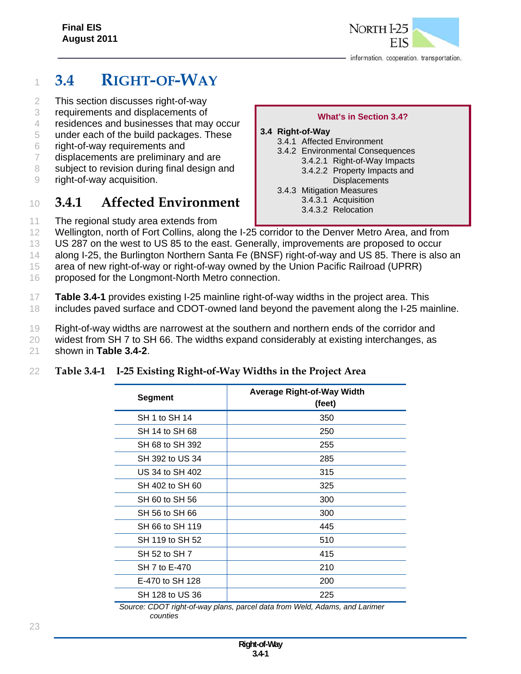# <sup>1</sup> **3.4 RIGHT-OF-WAY**

- 2 This section discusses right-of-way
- 3 requirements and displacements of
- 4 residences and businesses that may occur
- 5 under each of the build packages. These
- 6 right-of-way requirements and
- 7 displacements are preliminary and are
- 8 subject to revision during final design and
- 9 right-of-way acquisition.

# <sup>10</sup> **3.4.1 Affected Environment**

11 The regional study area extends from

#### **What's in Section 3.4? 3.4 Right-of-Way** 3.4.1 Affected Environment 3.4.2 Environmental Consequences

- 3.4.2.1 Right-of-Way Impacts
	- 3.4.2.2 Property Impacts and
- **Displacements**
- 3.4.3 Mitigation Measures
	- 3.4.3.1 Acquisition
	- 3.4.3.2 Relocation
- 12 Wellington, north of Fort Collins, along the I-25 corridor to the Denver Metro Area, and from
- 13 US 287 on the west to US 85 to the east. Generally, improvements are proposed to occur
- 14 along I-25, the Burlington Northern Santa Fe (BNSF) right-of-way and US 85. There is also an
- 15 area of new right-of-way or right-of-way owned by the Union Pacific Railroad (UPRR)
- 16 proposed for the Longmont-North Metro connection.
- 17 **Table 3.4-1** provides existing I-25 mainline right-of-way widths in the project area. This 18 includes paved surface and CDOT-owned land beyond the pavement along the I-25 mainline.
- 19 Right-of-way widths are narrowest at the southern and northern ends of the corridor and
- 20 widest from SH 7 to SH 66. The widths expand considerably at existing interchanges, as
- 21 shown in **Table 3.4-2**.

### 22 **Table 3.4-1 I-25 Existing Right-of-Way Widths in the Project Area**

| Segment         | <b>Average Right-of-Way Width</b><br>(feet) |
|-----------------|---------------------------------------------|
| SH 1 to SH 14   | 350                                         |
| SH 14 to SH 68  | 250                                         |
| SH 68 to SH 392 | 255                                         |
| SH 392 to US 34 | 285                                         |
| US 34 to SH 402 | 315                                         |
| SH 402 to SH 60 | 325                                         |
| SH 60 to SH 56  | 300                                         |
| SH 56 to SH 66  | 300                                         |
| SH 66 to SH 119 | 445                                         |
| SH 119 to SH 52 | 510                                         |
| SH 52 to SH 7   | 415                                         |
| SH 7 to E-470   | 210                                         |
| E-470 to SH 128 | 200                                         |
| SH 128 to US 36 | 225                                         |

*Source: CDOT right-of-way plans, parcel data from Weld, Adams, and Larimer counties*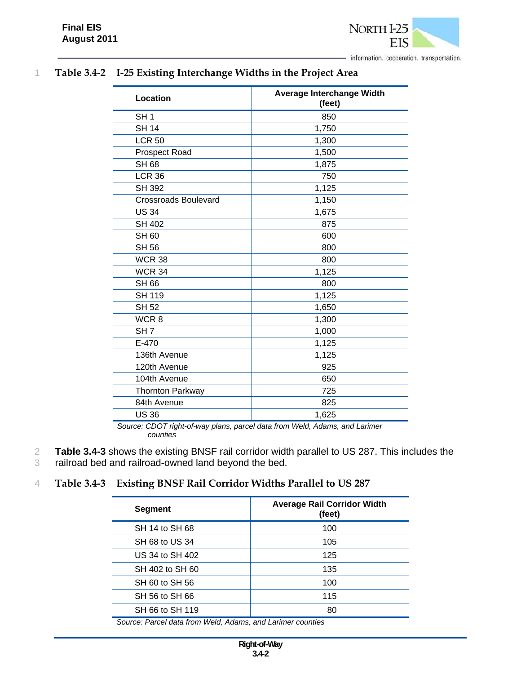

| Location                    | Average Interchange Width<br>(feet) |  |
|-----------------------------|-------------------------------------|--|
| SH <sub>1</sub>             | 850                                 |  |
| <b>SH 14</b>                | 1,750                               |  |
| <b>LCR 50</b>               | 1,300                               |  |
| Prospect Road               | 1,500                               |  |
| <b>SH 68</b>                | 1,875                               |  |
| <b>LCR 36</b>               | 750                                 |  |
| <b>SH 392</b>               | 1,125                               |  |
| <b>Crossroads Boulevard</b> | 1,150                               |  |
| <b>US 34</b>                | 1,675                               |  |
| <b>SH 402</b>               | 875                                 |  |
| <b>SH 60</b>                | 600                                 |  |
| <b>SH 56</b>                | 800                                 |  |
| <b>WCR 38</b>               | 800                                 |  |
| <b>WCR 34</b>               | 1,125                               |  |
| <b>SH 66</b>                | 800                                 |  |
| <b>SH 119</b>               | 1,125                               |  |
| <b>SH 52</b>                | 1,650                               |  |
| WCR <sub>8</sub>            | 1,300                               |  |
| SH <sub>7</sub>             | 1,000                               |  |
| E-470                       | 1,125                               |  |
| 136th Avenue                | 1,125                               |  |
| 120th Avenue                | 925                                 |  |
| 104th Avenue                | 650                                 |  |
| Thornton Parkway            | 725                                 |  |
| 84th Avenue                 | 825                                 |  |
| <b>US36</b>                 | 1,625                               |  |

# 1 **Table 3.4-2 I-25 Existing Interchange Widths in the Project Area**

*Source: CDOT right-of-way plans, parcel data from Weld, Adams, and Larimer counties* 

2 **Table 3.4-3** shows the existing BNSF rail corridor width parallel to US 287. This includes the

3 railroad bed and railroad-owned land beyond the bed.

### 4 **Table 3.4-3 Existing BNSF Rail Corridor Widths Parallel to US 287**

| (feet) |
|--------|
| 100    |
| 105    |
| 125    |
| 135    |
| 100    |
| 115    |
| 80     |
|        |

*Source: Parcel data from Weld, Adams, and Larimer counties*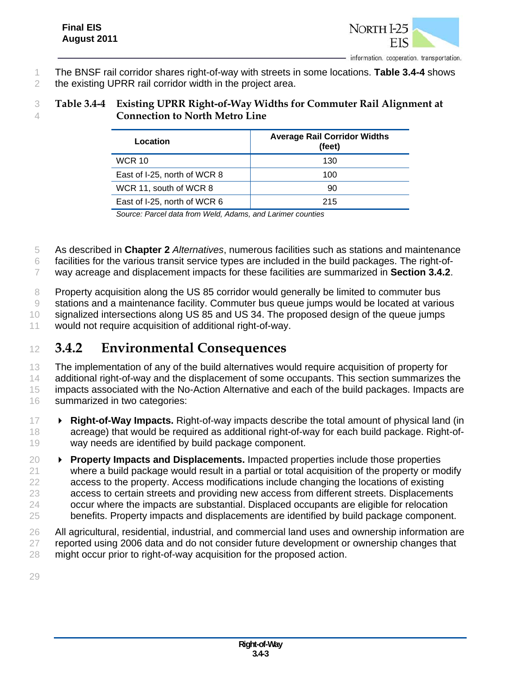

- The BNSF rail corridor shares right-of-way with streets in some locations. **Table 3.4-4** shows
- the existing UPRR rail corridor width in the project area.

# **Table 3.4-4 Existing UPRR Right-of-Way Widths for Commuter Rail Alignment at Connection to North Metro Line**

| <b>Average Rail Corridor Widths</b> |  |
|-------------------------------------|--|
| (feet)                              |  |
| 130                                 |  |
| 100                                 |  |
| 90                                  |  |
| 215                                 |  |
|                                     |  |

*Source: Parcel data from Weld, Adams, and Larimer counties* 

As described in **Chapter 2** *Alternatives*, numerous facilities such as stations and maintenance

facilities for the various transit service types are included in the build packages. The right-of-

way acreage and displacement impacts for these facilities are summarized in **Section 3.4.2**.

Property acquisition along the US 85 corridor would generally be limited to commuter bus

 stations and a maintenance facility. Commuter bus queue jumps would be located at various signalized intersections along US 85 and US 34. The proposed design of the queue jumps

would not require acquisition of additional right-of-way.

# **3.4.2 Environmental Consequences**

 The implementation of any of the build alternatives would require acquisition of property for 14 additional right-of-way and the displacement of some occupants. This section summarizes the impacts associated with the No-Action Alternative and each of the build packages. Impacts are summarized in two categories:

- **Right-of-Way Impacts.** Right-of-way impacts describe the total amount of physical land (in acreage) that would be required as additional right-of-way for each build package. Right-of-way needs are identified by build package component.
- **Property Impacts and Displacements.** Impacted properties include those properties where a build package would result in a partial or total acquisition of the property or modify access to the property. Access modifications include changing the locations of existing access to certain streets and providing new access from different streets. Displacements occur where the impacts are substantial. Displaced occupants are eligible for relocation benefits. Property impacts and displacements are identified by build package component.
- All agricultural, residential, industrial, and commercial land uses and ownership information are 27 reported using 2006 data and do not consider future development or ownership changes that might occur prior to right-of-way acquisition for the proposed action.
-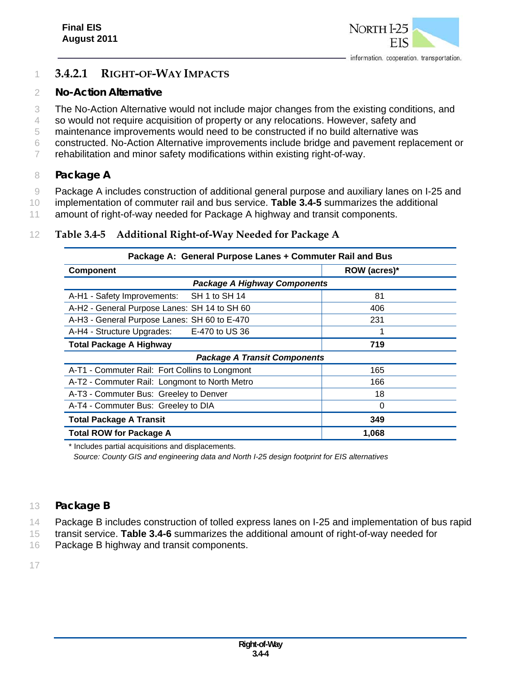

# 1 **3.4.2.1 RIGHT-OF-WAY IMPACTS**

### 2 *No-Action Alternative*

3 The No-Action Alternative would not include major changes from the existing conditions, and

- 4 so would not require acquisition of property or any relocations. However, safety and
- 5 maintenance improvements would need to be constructed if no build alternative was
- 6 constructed. No-Action Alternative improvements include bridge and pavement replacement or
- 7 rehabilitation and minor safety modifications within existing right-of-way.

# 8 *Package A*

9 Package A includes construction of additional general purpose and auxiliary lanes on I-25 and

10 implementation of commuter rail and bus service. **Table 3.4-5** summarizes the additional

11 amount of right-of-way needed for Package A highway and transit components.

### 12 **Table 3.4-5 Additional Right-of-Way Needed for Package A**

| Package A: General Purpose Lanes + Commuter Rail and Bus |              |  |
|----------------------------------------------------------|--------------|--|
| <b>Component</b>                                         | ROW (acres)* |  |
| <b>Package A Highway Components</b>                      |              |  |
| SH 1 to SH 14<br>A-H1 - Safety Improvements:             | 81           |  |
| A-H2 - General Purpose Lanes: SH 14 to SH 60             | 406          |  |
| A-H3 - General Purpose Lanes: SH 60 to E-470             | 231          |  |
| A-H4 - Structure Upgrades:<br>E-470 to US 36             |              |  |
| <b>Total Package A Highway</b>                           | 719          |  |
| <b>Package A Transit Components</b>                      |              |  |
| A-T1 - Commuter Rail: Fort Collins to Longmont           | 165          |  |
| A-T2 - Commuter Rail: Longmont to North Metro            | 166          |  |
| A-T3 - Commuter Bus: Greeley to Denver                   | 18           |  |
| A-T4 - Commuter Bus: Greeley to DIA                      | 0            |  |
| <b>Total Package A Transit</b>                           | 349          |  |
| <b>Total ROW for Package A</b>                           | 1,068        |  |

\* Includes partial acquisitions and displacements.

*Source: County GIS and engineering data and North I-25 design footprint for EIS alternatives* 

### 13 *Package B*

14 Package B includes construction of tolled express lanes on I-25 and implementation of bus rapid

15 transit service. **Table 3.4-6** summarizes the additional amount of right-of-way needed for

16 Package B highway and transit components.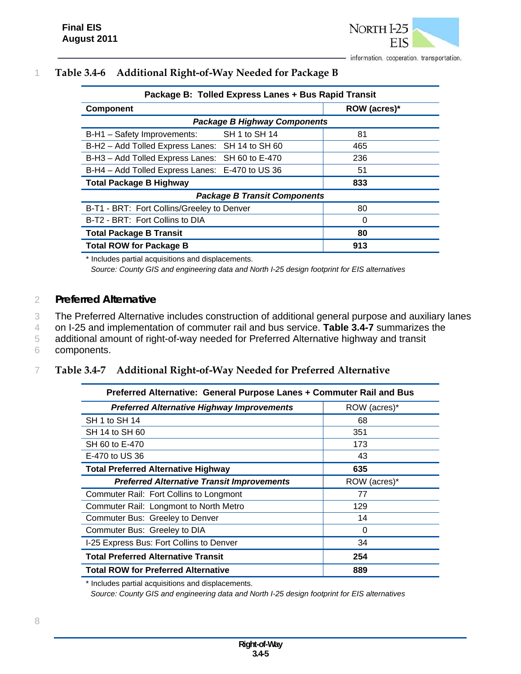

# 1 **Table 3.4-6 Additional Right-of-Way Needed for Package B**

| Package B: Tolled Express Lanes + Bus Rapid Transit |              |  |  |
|-----------------------------------------------------|--------------|--|--|
| <b>Component</b>                                    | ROW (acres)* |  |  |
| <b>Package B Highway Components</b>                 |              |  |  |
| SH 1 to SH 14<br>B-H1 - Safety Improvements:        | 81           |  |  |
| B-H2 - Add Tolled Express Lanes: SH 14 to SH 60     | 465          |  |  |
| B-H3 - Add Tolled Express Lanes: SH 60 to E-470     | 236          |  |  |
| B-H4 - Add Tolled Express Lanes: E-470 to US 36     | 51           |  |  |
| <b>Total Package B Highway</b>                      | 833          |  |  |
| <b>Package B Transit Components</b>                 |              |  |  |
| B-T1 - BRT: Fort Collins/Greeley to Denver          | 80           |  |  |
| B-T2 - BRT: Fort Collins to DIA                     | 0            |  |  |
| <b>Total Package B Transit</b>                      | 80           |  |  |
| <b>Total ROW for Package B</b>                      | 913          |  |  |

\* Includes partial acquisitions and displacements.

*Source: County GIS and engineering data and North I-25 design footprint for EIS alternatives* 

#### 2 *Preferred Alternative*

3 The Preferred Alternative includes construction of additional general purpose and auxiliary lanes

4 on I-25 and implementation of commuter rail and bus service. **Table 3.4-7** summarizes the

5 additional amount of right-of-way needed for Preferred Alternative highway and transit

6 components.

#### 7 **Table 3.4-7 Additional Right-of-Way Needed for Preferred Alternative**

| Preferred Alternative: General Purpose Lanes + Commuter Rail and Bus |              |  |  |
|----------------------------------------------------------------------|--------------|--|--|
| <b>Preferred Alternative Highway Improvements</b>                    | ROW (acres)* |  |  |
| SH 1 to SH 14                                                        | 68           |  |  |
| SH 14 to SH 60                                                       | 351          |  |  |
| SH 60 to E-470                                                       | 173          |  |  |
| E-470 to US 36                                                       | 43           |  |  |
| <b>Total Preferred Alternative Highway</b>                           | 635          |  |  |
| <b>Preferred Alternative Transit Improvements</b>                    | ROW (acres)* |  |  |
| Commuter Rail: Fort Collins to Longmont                              | 77           |  |  |
| Commuter Rail: Longmont to North Metro                               | 129          |  |  |
| Commuter Bus: Greeley to Denver                                      | 14           |  |  |
| Commuter Bus: Greeley to DIA                                         | 0            |  |  |
| I-25 Express Bus: Fort Collins to Denver                             | 34           |  |  |
| <b>Total Preferred Alternative Transit</b>                           | 254          |  |  |
| <b>Total ROW for Preferred Alternative</b>                           | 889          |  |  |

\* Includes partial acquisitions and displacements.

*Source: County GIS and engineering data and North I-25 design footprint for EIS alternatives*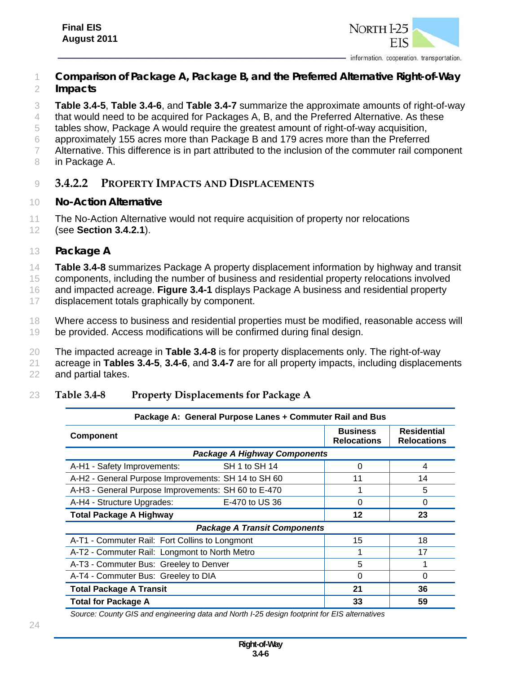

- 1 *Comparison of Package A, Package B, and the Preferred Alternative Right-of-Way*  2 *Impacts*
- 3 **Table 3.4-5**, **Table 3.4-6**, and **Table 3.4-7** summarize the approximate amounts of right-of-way

4 that would need to be acquired for Packages A, B, and the Preferred Alternative. As these

- 5 tables show, Package A would require the greatest amount of right-of-way acquisition,
- 6 approximately 155 acres more than Package B and 179 acres more than the Preferred
- 7 Alternative. This difference is in part attributed to the inclusion of the commuter rail component
- 8 in Package A.

### 9 **3.4.2.2 PROPERTY IMPACTS AND DISPLACEMENTS**

- 10 *No-Action Alternative*
- 11 The No-Action Alternative would not require acquisition of property nor relocations
- 12 (see **Section 3.4.2.1**).
- 13 *Package A*
- 14 **Table 3.4-8** summarizes Package A property displacement information by highway and transit

15 components, including the number of business and residential property relocations involved

16 and impacted acreage. **Figure 3.4-1** displays Package A business and residential property

17 displacement totals graphically by component.

- 18 Where access to business and residential properties must be modified, reasonable access will 19 be provided. Access modifications will be confirmed during final design.
- 20 The impacted acreage in **Table 3.4-8** is for property displacements only. The right-of-way
- 21 acreage in **Tables 3.4-5**, **3.4-6**, and **3.4-7** are for all property impacts, including displacements

22 and partial takes.

#### 23 **Table 3.4-8 Property Displacements for Package A**

| Package A: General Purpose Lanes + Commuter Rail and Bus |                                     |                                       |                                          |
|----------------------------------------------------------|-------------------------------------|---------------------------------------|------------------------------------------|
| <b>Component</b>                                         |                                     | <b>Business</b><br><b>Relocations</b> | <b>Residential</b><br><b>Relocations</b> |
|                                                          | <b>Package A Highway Components</b> |                                       |                                          |
| A-H1 - Safety Improvements:                              | SH 1 to SH 14                       | 0                                     | 4                                        |
| A-H2 - General Purpose Improvements: SH 14 to SH 60      |                                     | 11                                    | 14                                       |
| A-H3 - General Purpose Improvements: SH 60 to E-470      |                                     |                                       | 5                                        |
| A-H4 - Structure Upgrades:                               | E-470 to US 36                      | $\Omega$                              | $\Omega$                                 |
| <b>Total Package A Highway</b>                           |                                     | 12                                    | 23                                       |
| <b>Package A Transit Components</b>                      |                                     |                                       |                                          |
| A-T1 - Commuter Rail: Fort Collins to Longmont           |                                     | 15                                    | 18                                       |
| A-T2 - Commuter Rail: Longmont to North Metro            |                                     |                                       | 17                                       |
| A-T3 - Commuter Bus: Greeley to Denver                   |                                     | 5                                     |                                          |
| A-T4 - Commuter Bus: Greeley to DIA                      |                                     | $\Omega$                              | $\Omega$                                 |
| <b>Total Package A Transit</b>                           |                                     | 21                                    | 36                                       |
| <b>Total for Package A</b>                               |                                     | 33                                    | 59                                       |

*Source: County GIS and engineering data and North I-25 design footprint for EIS alternatives*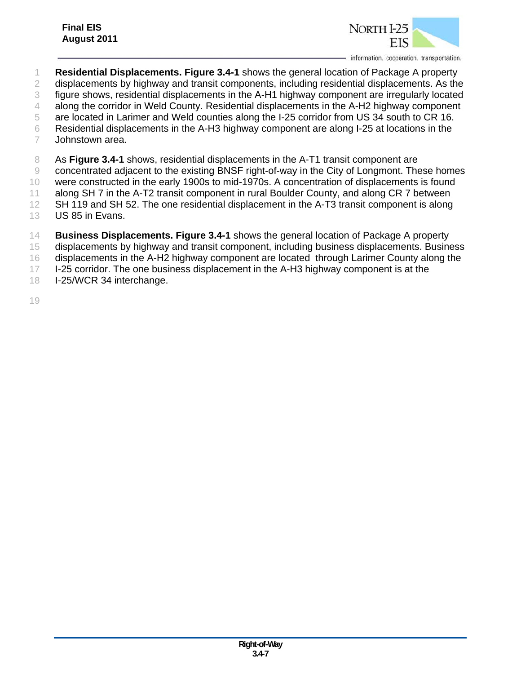

- **Residential Displacements. Figure 3.4-1** shows the general location of Package A property displacements by highway and transit components, including residential displacements. As the figure shows, residential displacements in the A-H1 highway component are irregularly located along the corridor in Weld County. Residential displacements in the A-H2 highway component are located in Larimer and Weld counties along the I-25 corridor from US 34 south to CR 16. Residential displacements in the A-H3 highway component are along I-25 at locations in the Johnstown area.
- 

As **Figure 3.4-1** shows, residential displacements in the A-T1 transit component are

concentrated adjacent to the existing BNSF right-of-way in the City of Longmont. These homes

- were constructed in the early 1900s to mid-1970s. A concentration of displacements is found
- along SH 7 in the A-T2 transit component in rural Boulder County, and along CR 7 between
- SH 119 and SH 52. The one residential displacement in the A-T3 transit component is along US 85 in Evans.
- **Business Displacements. Figure 3.4-1** shows the general location of Package A property
- displacements by highway and transit component, including business displacements. Business
- displacements in the A-H2 highway component are located through Larimer County along the
- 17 I-25 corridor. The one business displacement in the A-H3 highway component is at the
- I-25/WCR 34 interchange.
-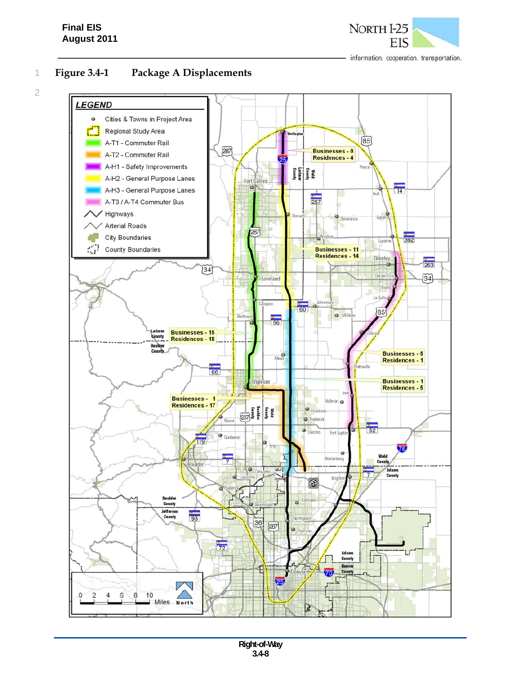NORTH<sub>I</sub>-25 EIS

information. cooperation. transportation.

2

# 1 **Figure 3.4-1 Package A Displacements**

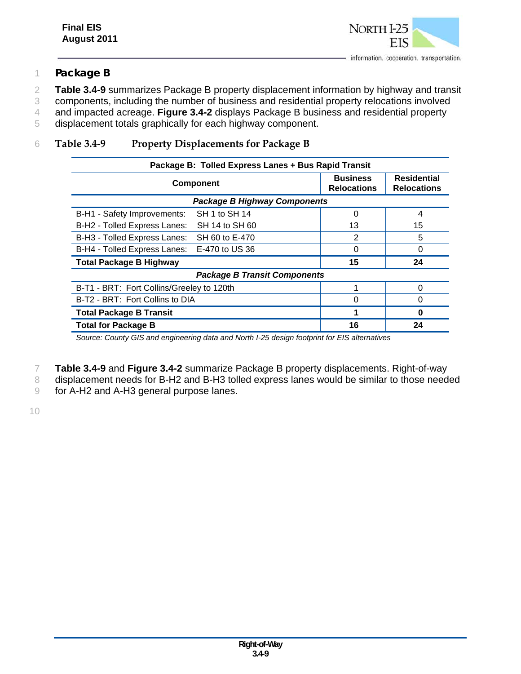

### 1 *Package B*

2 **Table 3.4-9** summarizes Package B property displacement information by highway and transit

3 components, including the number of business and residential property relocations involved

- 4 and impacted acreage. **Figure 3.4-2** displays Package B business and residential property
- 5 displacement totals graphically for each highway component.

## 6 **Table 3.4-9 Property Displacements for Package B**

| Package B: Tolled Express Lanes + Bus Rapid Transit |                                       |                                          |
|-----------------------------------------------------|---------------------------------------|------------------------------------------|
| <b>Component</b>                                    | <b>Business</b><br><b>Relocations</b> | <b>Residential</b><br><b>Relocations</b> |
| <b>Package B Highway Components</b>                 |                                       |                                          |
| SH 1 to SH 14<br>B-H1 - Safety Improvements:        | 0                                     | 4                                        |
| B-H2 - Tolled Express Lanes:<br>SH 14 to SH 60      | 13                                    | 15                                       |
| B-H3 - Tolled Express Lanes:<br>SH 60 to E-470      | 2                                     | 5                                        |
| B-H4 - Tolled Express Lanes:<br>E-470 to US 36      | 0                                     | 0                                        |
| <b>Total Package B Highway</b>                      | 15                                    | 24                                       |
| <b>Package B Transit Components</b>                 |                                       |                                          |
| B-T1 - BRT: Fort Collins/Greeley to 120th           | 1                                     | $\Omega$                                 |
| B-T2 - BRT: Fort Collins to DIA                     | 0                                     | 0                                        |
| <b>Total Package B Transit</b>                      |                                       | O                                        |
| <b>Total for Package B</b>                          | 16                                    | 24                                       |

*Source: County GIS and engineering data and North I-25 design footprint for EIS alternatives*

- 7 **Table 3.4-9** and **Figure 3.4-2** summarize Package B property displacements. Right-of-way
- 8 displacement needs for B-H2 and B-H3 tolled express lanes would be similar to those needed
- 9 for A-H2 and A-H3 general purpose lanes.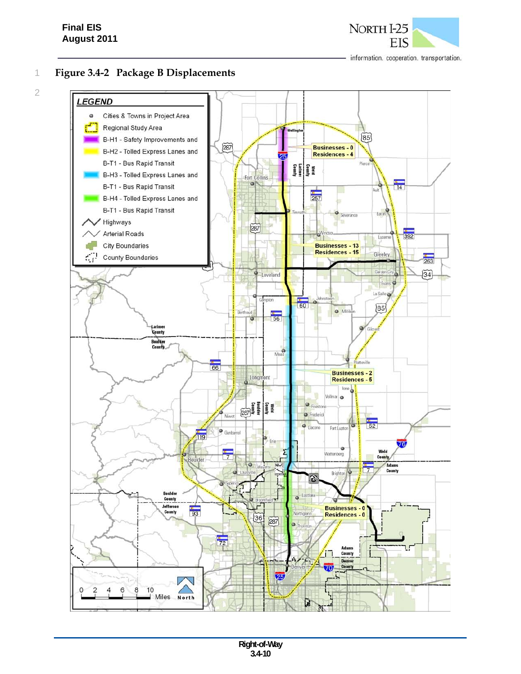## **Final EIS August 2011**

information. cooperation. transportation.

2

# 1 **Figure 3.4-2 Package B Displacements**



NORTH I-25 **FIS**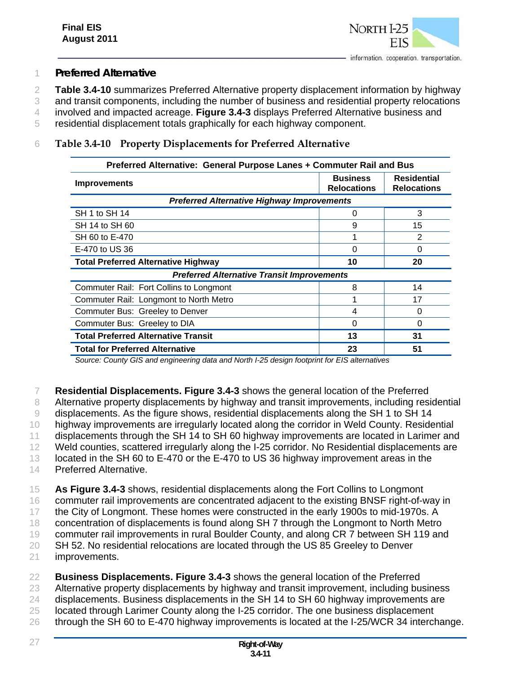

### 1 *Preferred Alternative*

2 **Table 3.4-10** summarizes Preferred Alternative property displacement information by highway

3 and transit components, including the number of business and residential property relocations 4 involved and impacted acreage. **Figure 3.4-3** displays Preferred Alternative business and

5 residential displacement totals graphically for each highway component.

### 6 **Table 3.4-10 Property Displacements for Preferred Alternative**

| Preferred Alternative: General Purpose Lanes + Commuter Rail and Bus |                                       |                                          |
|----------------------------------------------------------------------|---------------------------------------|------------------------------------------|
| <b>Improvements</b>                                                  | <b>Business</b><br><b>Relocations</b> | <b>Residential</b><br><b>Relocations</b> |
| <b>Preferred Alternative Highway Improvements</b>                    |                                       |                                          |
| SH 1 to SH 14                                                        | 0                                     | 3                                        |
| SH 14 to SH 60                                                       | 9                                     | 15                                       |
| SH 60 to E-470                                                       |                                       | 2                                        |
| E-470 to US 36                                                       | 0                                     | O                                        |
| <b>Total Preferred Alternative Highway</b>                           | 10                                    | 20                                       |
| <b>Preferred Alternative Transit Improvements</b>                    |                                       |                                          |
| Commuter Rail: Fort Collins to Longmont                              | 8                                     | 14                                       |
| Commuter Rail: Longmont to North Metro                               |                                       | 17                                       |
| Commuter Bus: Greeley to Denver                                      | 4                                     | $\Omega$                                 |
| Commuter Bus: Greeley to DIA                                         | 0                                     | O                                        |
| <b>Total Preferred Alternative Transit</b>                           | 13                                    | 31                                       |
| <b>Total for Preferred Alternative</b>                               | 23                                    | 51                                       |

*Source: County GIS and engineering data and North I-25 design footprint for EIS alternatives* 

7 **Residential Displacements. Figure 3.4-3** shows the general location of the Preferred

8 Alternative property displacements by highway and transit improvements, including residential

9 displacements. As the figure shows, residential displacements along the SH 1 to SH 14

10 highway improvements are irregularly located along the corridor in Weld County. Residential

11 displacements through the SH 14 to SH 60 highway improvements are located in Larimer and

12 Weld counties, scattered irregularly along the I-25 corridor. No Residential displacements are

13 located in the SH 60 to E-470 or the E-470 to US 36 highway improvement areas in the

14 Preferred Alternative.

15 **As Figure 3.4-3** shows, residential displacements along the Fort Collins to Longmont

16 commuter rail improvements are concentrated adjacent to the existing BNSF right-of-way in

17 the City of Longmont. These homes were constructed in the early 1900s to mid-1970s. A

18 concentration of displacements is found along SH 7 through the Longmont to North Metro

19 commuter rail improvements in rural Boulder County, and along CR 7 between SH 119 and

20 SH 52. No residential relocations are located through the US 85 Greeley to Denver 21 improvements.

22 **Business Displacements. Figure 3.4-3** shows the general location of the Preferred

23 Alternative property displacements by highway and transit improvement, including business

24 displacements. Business displacements in the SH 14 to SH 60 highway improvements are

25 located through Larimer County along the I-25 corridor. The one business displacement

26 through the SH 60 to E-470 highway improvements is located at the I-25/WCR 34 interchange.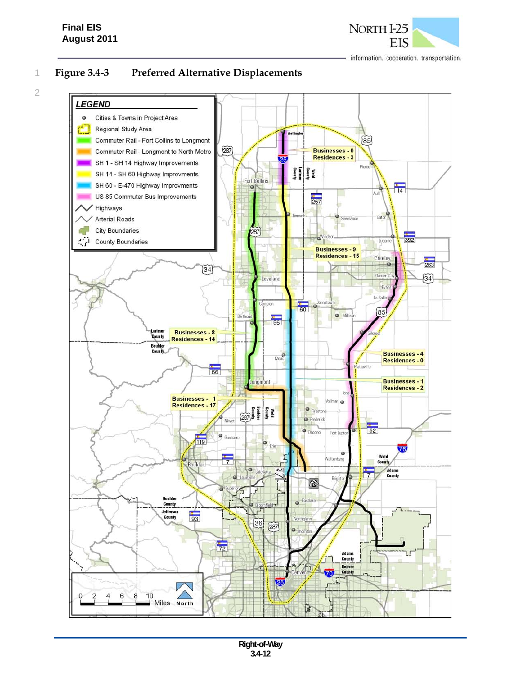## **Final EIS August 2011**

2



information. cooperation. transportation.

1 **Figure 3.4-3 Preferred Alternative Displacements** 

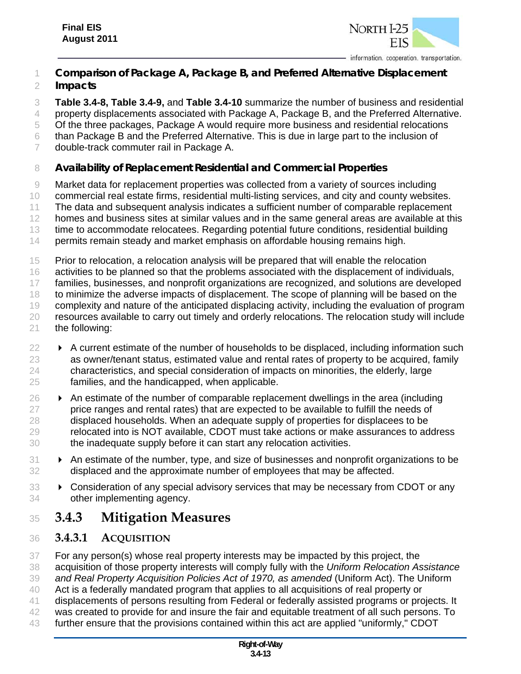

### *Comparison of Package A, Package B, and Preferred Alternative Displacement Impacts*

 **Table 3.4-8, Table 3.4-9,** and **Table 3.4-10** summarize the number of business and residential 4 property displacements associated with Package A, Package B, and the Preferred Alternative. Of the three packages, Package A would require more business and residential relocations than Package B and the Preferred Alternative. This is due in large part to the inclusion of

double-track commuter rail in Package A.

# *Availability of Replacement Residential and Commercial Properties*

 Market data for replacement properties was collected from a variety of sources including commercial real estate firms, residential multi-listing services, and city and county websites. The data and subsequent analysis indicates a sufficient number of comparable replacement homes and business sites at similar values and in the same general areas are available at this time to accommodate relocatees. Regarding potential future conditions, residential building permits remain steady and market emphasis on affordable housing remains high. Prior to relocation, a relocation analysis will be prepared that will enable the relocation

 activities to be planned so that the problems associated with the displacement of individuals, families, businesses, and nonprofit organizations are recognized, and solutions are developed 18 to minimize the adverse impacts of displacement. The scope of planning will be based on the complexity and nature of the anticipated displacing activity, including the evaluation of program resources available to carry out timely and orderly relocations. The relocation study will include

- the following:
- $22 \rightarrow$  A current estimate of the number of households to be displaced, including information such as owner/tenant status, estimated value and rental rates of property to be acquired, family characteristics, and special consideration of impacts on minorities, the elderly, large families, and the handicapped, when applicable.
- $26 \rightarrow$  An estimate of the number of comparable replacement dwellings in the area (including 27 price ranges and rental rates) that are expected to be available to fulfill the needs of displaced households. When an adequate supply of properties for displacees to be relocated into is NOT available, CDOT must take actions or make assurances to address the inadequate supply before it can start any relocation activities.
- **An estimate of the number, type, and size of businesses and nonprofit organizations to be** displaced and the approximate number of employees that may be affected.
- **EX** Consideration of any special advisory services that may be necessary from CDOT or any other implementing agency.

# **3.4.3 Mitigation Measures**

# **3.4.3.1 ACQUISITION**

 For any person(s) whose real property interests may be impacted by this project, the acquisition of those property interests will comply fully with the *Uniform Relocation Assistance and Real Property Acquisition Policies Act of 1970, as amended* (Uniform Act). The Uniform Act is a federally mandated program that applies to all acquisitions of real property or displacements of persons resulting from Federal or federally assisted programs or projects. It was created to provide for and insure the fair and equitable treatment of all such persons. To

further ensure that the provisions contained within this act are applied "uniformly," CDOT